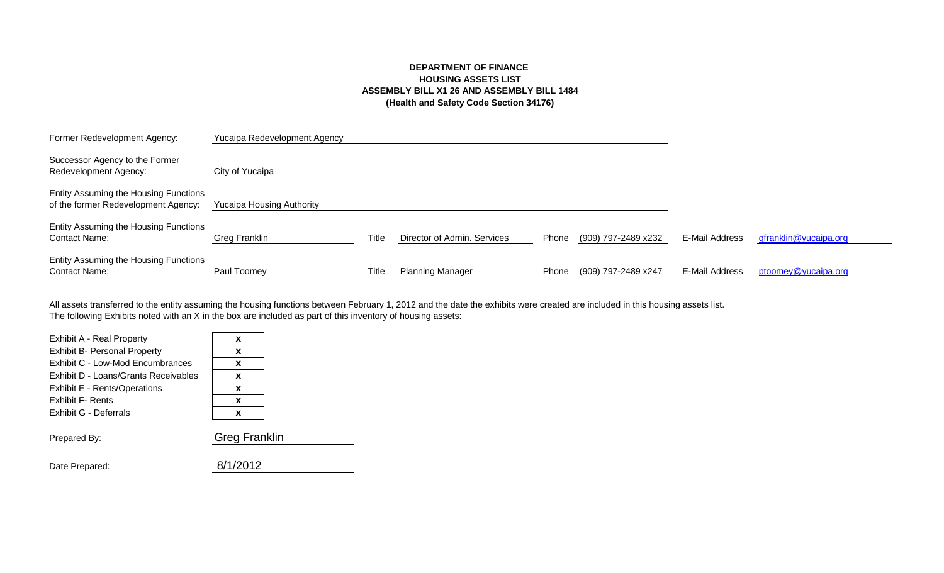# **DEPARTMENT OF FINANCE HOUSING ASSETS LIST ASSEMBLY BILL X1 26 AND ASSEMBLY BILL 1484 (Health and Safety Code Section 34176)**

| Former Redevelopment Agency:                                                 | Yucaipa Redevelopment Agency     |       |                             |       |                     |                |                       |
|------------------------------------------------------------------------------|----------------------------------|-------|-----------------------------|-------|---------------------|----------------|-----------------------|
| Successor Agency to the Former<br>Redevelopment Agency:                      | City of Yucaipa                  |       |                             |       |                     |                |                       |
| Entity Assuming the Housing Functions<br>of the former Redevelopment Agency: | <b>Yucaipa Housing Authority</b> |       |                             |       |                     |                |                       |
| Entity Assuming the Housing Functions<br><b>Contact Name:</b>                | Greg Franklin                    | Title | Director of Admin. Services | Phone | (909) 797-2489 x232 | E-Mail Address | gfranklin@yucaipa.org |
| Entity Assuming the Housing Functions<br><b>Contact Name:</b>                | Paul Toomey                      | Title | <b>Planning Manager</b>     | Phone | (909) 797-2489 x247 | E-Mail Address | ptoomey@yucaipa.org   |

The following Exhibits noted with an X in the box are included as part of this inventory of housing assets: All assets transferred to the entity assuming the housing functions between February 1, 2012 and the date the exhibits were created are included in this housing assets list.

| Exhibit A - Real Property            | x                    |
|--------------------------------------|----------------------|
| <b>Exhibit B- Personal Property</b>  | x                    |
| Exhibit C - Low-Mod Encumbrances     | x                    |
| Exhibit D - Loans/Grants Receivables | X                    |
| Exhibit E - Rents/Operations         | x                    |
| <b>Exhibit F- Rents</b>              | x                    |
| Exhibit G - Deferrals                | x                    |
| Prepared By:                         | <b>Greg Franklin</b> |

| 8/1/2012<br>Date Prepared: |
|----------------------------|
|----------------------------|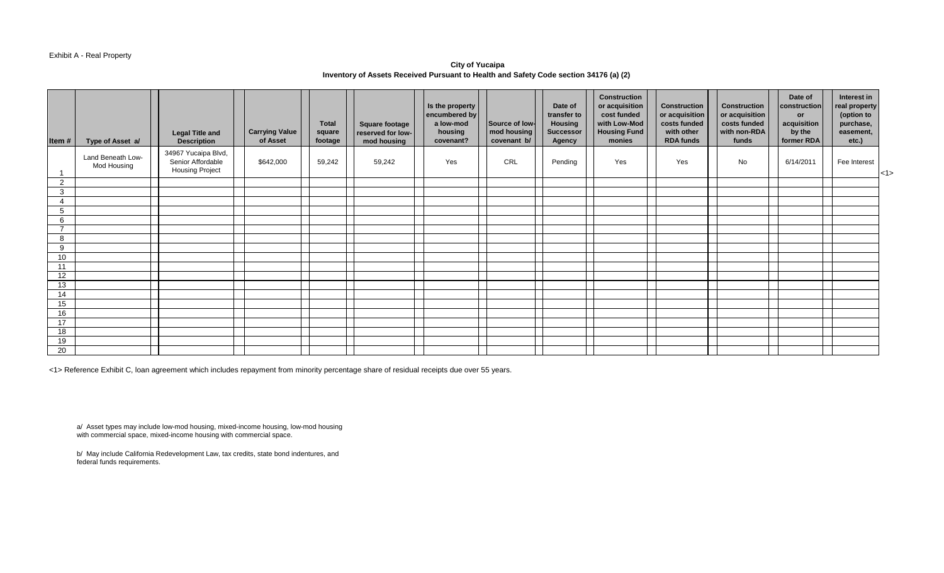### Exhibit A - Real Property

**City of Yucaipa Inventory of Assets Received Pursuant to Health and Safety Code section 34176 (a) (2)** 

| Item#               | Type of Asset a/                 | <b>Legal Title and</b><br><b>Description</b>                       | <b>Carrying Value</b><br>of Asset | <b>Total</b><br>square<br>footage | Square footage<br>reserved for low-<br>mod housing | Is the property<br>encumbered by<br>a low-mod<br>housing<br>covenant? | Source of low-<br>mod housing<br>covenant b/ | Date of<br>transfer to<br><b>Housing</b><br><b>Successor</b><br>Agency | <b>Construction</b><br>or acquisition<br>cost funded<br>with Low-Mod<br><b>Housing Fund</b><br>monies | <b>Construction</b><br>or acquisition<br>costs funded<br>with other<br><b>RDA funds</b> | <b>Construction</b><br>or acquisition<br>costs funded<br>with non-RDA<br>funds | Date of<br>construction<br>or<br>acquisition<br>by the<br>former RDA | Interest in<br>real property<br>(option to<br>purchase,<br>easement,<br>etc.) |     |
|---------------------|----------------------------------|--------------------------------------------------------------------|-----------------------------------|-----------------------------------|----------------------------------------------------|-----------------------------------------------------------------------|----------------------------------------------|------------------------------------------------------------------------|-------------------------------------------------------------------------------------------------------|-----------------------------------------------------------------------------------------|--------------------------------------------------------------------------------|----------------------------------------------------------------------|-------------------------------------------------------------------------------|-----|
|                     | Land Beneath Low-<br>Mod Housing | 34967 Yucaipa Blvd,<br>Senior Affordable<br><b>Housing Project</b> | \$642,000                         | 59,242                            | 59,242                                             | Yes                                                                   | CRL                                          | Pending                                                                | Yes                                                                                                   | Yes                                                                                     | No                                                                             | 6/14/2011                                                            | Fee Interest                                                                  | <1> |
| $\overline{2}$      |                                  |                                                                    |                                   |                                   |                                                    |                                                                       |                                              |                                                                        |                                                                                                       |                                                                                         |                                                                                |                                                                      |                                                                               |     |
| $\mathbf{3}$        |                                  |                                                                    |                                   |                                   |                                                    |                                                                       |                                              |                                                                        |                                                                                                       |                                                                                         |                                                                                |                                                                      |                                                                               |     |
| $\overline{4}$      |                                  |                                                                    |                                   |                                   |                                                    |                                                                       |                                              |                                                                        |                                                                                                       |                                                                                         |                                                                                |                                                                      |                                                                               |     |
| 5                   |                                  |                                                                    |                                   |                                   |                                                    |                                                                       |                                              |                                                                        |                                                                                                       |                                                                                         |                                                                                |                                                                      |                                                                               |     |
| 6<br>$\overline{ }$ |                                  |                                                                    |                                   |                                   |                                                    |                                                                       |                                              |                                                                        |                                                                                                       |                                                                                         |                                                                                |                                                                      |                                                                               |     |
|                     |                                  |                                                                    |                                   |                                   |                                                    |                                                                       |                                              |                                                                        |                                                                                                       |                                                                                         |                                                                                |                                                                      |                                                                               |     |
| 8                   |                                  |                                                                    |                                   |                                   |                                                    |                                                                       |                                              |                                                                        |                                                                                                       |                                                                                         |                                                                                |                                                                      |                                                                               |     |
| 9<br>10             |                                  |                                                                    |                                   |                                   |                                                    |                                                                       |                                              |                                                                        |                                                                                                       |                                                                                         |                                                                                |                                                                      |                                                                               |     |
| 11                  |                                  |                                                                    |                                   |                                   |                                                    |                                                                       |                                              |                                                                        |                                                                                                       |                                                                                         |                                                                                |                                                                      |                                                                               |     |
| 12                  |                                  |                                                                    |                                   |                                   |                                                    |                                                                       |                                              |                                                                        |                                                                                                       |                                                                                         |                                                                                |                                                                      |                                                                               |     |
| 13                  |                                  |                                                                    |                                   |                                   |                                                    |                                                                       |                                              |                                                                        |                                                                                                       |                                                                                         |                                                                                |                                                                      |                                                                               |     |
| 14                  |                                  |                                                                    |                                   |                                   |                                                    |                                                                       |                                              |                                                                        |                                                                                                       |                                                                                         |                                                                                |                                                                      |                                                                               |     |
| 15                  |                                  |                                                                    |                                   |                                   |                                                    |                                                                       |                                              |                                                                        |                                                                                                       |                                                                                         |                                                                                |                                                                      |                                                                               |     |
| 16                  |                                  |                                                                    |                                   |                                   |                                                    |                                                                       |                                              |                                                                        |                                                                                                       |                                                                                         |                                                                                |                                                                      |                                                                               |     |
| 17                  |                                  |                                                                    |                                   |                                   |                                                    |                                                                       |                                              |                                                                        |                                                                                                       |                                                                                         |                                                                                |                                                                      |                                                                               |     |
| 18                  |                                  |                                                                    |                                   |                                   |                                                    |                                                                       |                                              |                                                                        |                                                                                                       |                                                                                         |                                                                                |                                                                      |                                                                               |     |
| 19                  |                                  |                                                                    |                                   |                                   |                                                    |                                                                       |                                              |                                                                        |                                                                                                       |                                                                                         |                                                                                |                                                                      |                                                                               |     |
| 20                  |                                  |                                                                    |                                   |                                   |                                                    |                                                                       |                                              |                                                                        |                                                                                                       |                                                                                         |                                                                                |                                                                      |                                                                               |     |

<1> Reference Exhibit C, loan agreement which includes repayment from minority percentage share of residual receipts due over 55 years.

a/ Asset types may include low-mod housing, mixed-income housing, low-mod housing with commercial space, mixed-income housing with commercial space.

b/ May include California Redevelopment Law, tax credits, state bond indentures, and federal funds requirements.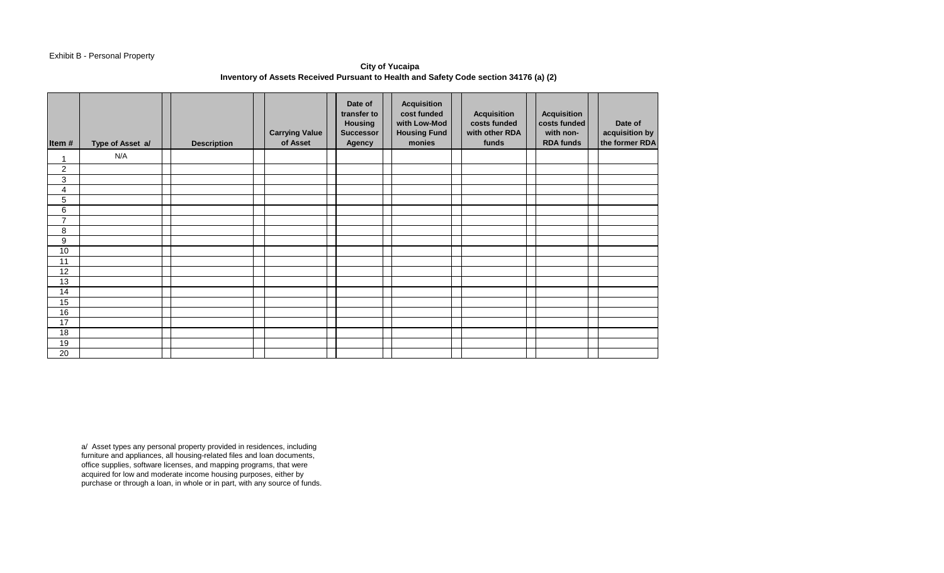## Exhibit B - Personal Property

**City of Yucaipa Inventory of Assets Received Pursuant to Health and Safety Code section 34176 (a) (2)** 

| Item#                     | Type of Asset a/ | <b>Description</b> | <b>Carrying Value</b><br>of Asset | Date of<br>transfer to<br><b>Housing</b><br><b>Successor</b><br>Agency | <b>Acquisition</b><br>cost funded<br>with Low-Mod<br><b>Housing Fund</b><br>monies | <b>Acquisition</b><br>costs funded<br>with other RDA<br>funds | <b>Acquisition</b><br>costs funded<br>with non-<br><b>RDA funds</b> | Date of<br>acquisition by<br>the former RDA |
|---------------------------|------------------|--------------------|-----------------------------------|------------------------------------------------------------------------|------------------------------------------------------------------------------------|---------------------------------------------------------------|---------------------------------------------------------------------|---------------------------------------------|
| 4                         | N/A              |                    |                                   |                                                                        |                                                                                    |                                                               |                                                                     |                                             |
| $\overline{c}$            |                  |                    |                                   |                                                                        |                                                                                    |                                                               |                                                                     |                                             |
| $\ensuremath{\mathsf{3}}$ |                  |                    |                                   |                                                                        |                                                                                    |                                                               |                                                                     |                                             |
| 4                         |                  |                    |                                   |                                                                        |                                                                                    |                                                               |                                                                     |                                             |
| 5                         |                  |                    |                                   |                                                                        |                                                                                    |                                                               |                                                                     |                                             |
| 6                         |                  |                    |                                   |                                                                        |                                                                                    |                                                               |                                                                     |                                             |
| $\overline{7}$            |                  |                    |                                   |                                                                        |                                                                                    |                                                               |                                                                     |                                             |
| 8                         |                  |                    |                                   |                                                                        |                                                                                    |                                                               |                                                                     |                                             |
| $\boldsymbol{9}$          |                  |                    |                                   |                                                                        |                                                                                    |                                                               |                                                                     |                                             |
| 10                        |                  |                    |                                   |                                                                        |                                                                                    |                                                               |                                                                     |                                             |
| 11                        |                  |                    |                                   |                                                                        |                                                                                    |                                                               |                                                                     |                                             |
| 12                        |                  |                    |                                   |                                                                        |                                                                                    |                                                               |                                                                     |                                             |
| 13                        |                  |                    |                                   |                                                                        |                                                                                    |                                                               |                                                                     |                                             |
| 14                        |                  |                    |                                   |                                                                        |                                                                                    |                                                               |                                                                     |                                             |
| 15                        |                  |                    |                                   |                                                                        |                                                                                    |                                                               |                                                                     |                                             |
| 16                        |                  |                    |                                   |                                                                        |                                                                                    |                                                               |                                                                     |                                             |
| 17                        |                  |                    |                                   |                                                                        |                                                                                    |                                                               |                                                                     |                                             |
| 18                        |                  |                    |                                   |                                                                        |                                                                                    |                                                               |                                                                     |                                             |
| 19                        |                  |                    |                                   |                                                                        |                                                                                    |                                                               |                                                                     |                                             |
| 20                        |                  |                    |                                   |                                                                        |                                                                                    |                                                               |                                                                     |                                             |

a/ Asset types any personal property provided in residences, including furniture and appliances, all housing-related files and loan documents, office supplies, software licenses, and mapping programs, that were acquired for low and moderate income housing purposes, either by purchase or through a loan, in whole or in part, with any source of funds.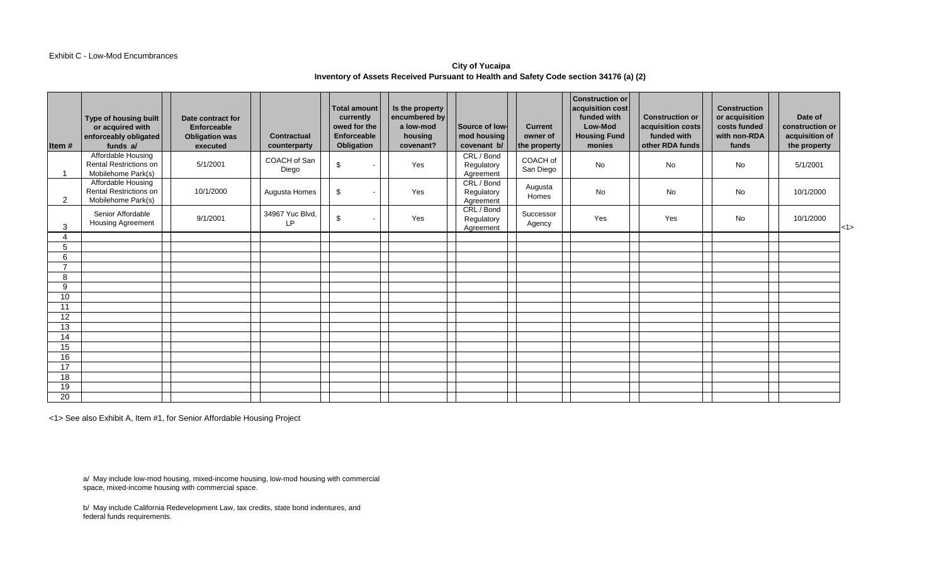#### Exhibit C - Low-Mod Encumbrances

## **City of Yucaipa Inventory of Assets Received Pursuant to Health and Safety Code section 34176 (a) (2)**

| Item#               | Type of housing built<br>or acquired with<br>enforceably obligated<br>funds a/ | Date contract for<br>Enforceable<br><b>Obligation was</b><br>executed | <b>Contractual</b><br>counterparty | <b>Total amount</b><br>currently<br>owed for the<br><b>Enforceable</b><br>Obligation | Is the property<br>encumbered by<br>a low-mod<br>housing<br>covenant? | Source of low-<br>mod housing<br>covenant b/ | <b>Current</b><br>owner of<br>the property | <b>Construction or</b><br>acquisition cost<br>funded with<br>Low-Mod<br><b>Housing Fund</b><br>monies | <b>Construction or</b><br>acquisition costs<br>funded with<br>other RDA funds | <b>Construction</b><br>or acquisition<br>costs funded<br>with non-RDA<br>funds | Date of<br>construction or<br>acquisition of<br>the property |         |
|---------------------|--------------------------------------------------------------------------------|-----------------------------------------------------------------------|------------------------------------|--------------------------------------------------------------------------------------|-----------------------------------------------------------------------|----------------------------------------------|--------------------------------------------|-------------------------------------------------------------------------------------------------------|-------------------------------------------------------------------------------|--------------------------------------------------------------------------------|--------------------------------------------------------------|---------|
|                     | Affordable Housing<br><b>Rental Restrictions on</b><br>Mobilehome Park(s)      | 5/1/2001                                                              | COACH of San<br>Diego              | \$                                                                                   | Yes                                                                   | CRL / Bond<br>Regulatory<br>Agreement        | COACH of<br>San Diego                      | No                                                                                                    | <b>No</b>                                                                     | No                                                                             | 5/1/2001                                                     |         |
| $\overline{2}$      | Affordable Housing<br><b>Rental Restrictions on</b><br>Mobilehome Park(s)      | 10/1/2000                                                             | Augusta Homes                      | \$                                                                                   | Yes                                                                   | CRL / Bond<br>Regulatory<br>Agreement        | Augusta<br>Homes                           | No                                                                                                    | <b>No</b>                                                                     | No                                                                             | 10/1/2000                                                    |         |
| 3                   | Senior Affordable<br><b>Housing Agreement</b>                                  | 9/1/2001                                                              | 34967 Yuc Blvd,<br>LP.             | \$                                                                                   | Yes                                                                   | CRL / Bond<br>Regulatory<br>Agreement        | Successor<br>Agency                        | Yes                                                                                                   | Yes                                                                           | No                                                                             | 10/1/2000                                                    | $ $ <1> |
| 4                   |                                                                                |                                                                       |                                    |                                                                                      |                                                                       |                                              |                                            |                                                                                                       |                                                                               |                                                                                |                                                              |         |
| 5                   |                                                                                |                                                                       |                                    |                                                                                      |                                                                       |                                              |                                            |                                                                                                       |                                                                               |                                                                                |                                                              |         |
| 6<br>$\overline{ }$ |                                                                                |                                                                       |                                    |                                                                                      |                                                                       |                                              |                                            |                                                                                                       |                                                                               |                                                                                |                                                              |         |
|                     |                                                                                |                                                                       |                                    |                                                                                      |                                                                       |                                              |                                            |                                                                                                       |                                                                               |                                                                                |                                                              |         |
| 8<br>9              |                                                                                |                                                                       |                                    |                                                                                      |                                                                       |                                              |                                            |                                                                                                       |                                                                               |                                                                                |                                                              |         |
| 10                  |                                                                                |                                                                       |                                    |                                                                                      |                                                                       |                                              |                                            |                                                                                                       |                                                                               |                                                                                |                                                              |         |
| 11                  |                                                                                |                                                                       |                                    |                                                                                      |                                                                       |                                              |                                            |                                                                                                       |                                                                               |                                                                                |                                                              |         |
| 12                  |                                                                                |                                                                       |                                    |                                                                                      |                                                                       |                                              |                                            |                                                                                                       |                                                                               |                                                                                |                                                              |         |
| $\overline{13}$     |                                                                                |                                                                       |                                    |                                                                                      |                                                                       |                                              |                                            |                                                                                                       |                                                                               |                                                                                |                                                              |         |
| 14                  |                                                                                |                                                                       |                                    |                                                                                      |                                                                       |                                              |                                            |                                                                                                       |                                                                               |                                                                                |                                                              |         |
| 15                  |                                                                                |                                                                       |                                    |                                                                                      |                                                                       |                                              |                                            |                                                                                                       |                                                                               |                                                                                |                                                              |         |
| 16                  |                                                                                |                                                                       |                                    |                                                                                      |                                                                       |                                              |                                            |                                                                                                       |                                                                               |                                                                                |                                                              |         |
| 17                  |                                                                                |                                                                       |                                    |                                                                                      |                                                                       |                                              |                                            |                                                                                                       |                                                                               |                                                                                |                                                              |         |
| 18                  |                                                                                |                                                                       |                                    |                                                                                      |                                                                       |                                              |                                            |                                                                                                       |                                                                               |                                                                                |                                                              |         |
| 19                  |                                                                                |                                                                       |                                    |                                                                                      |                                                                       |                                              |                                            |                                                                                                       |                                                                               |                                                                                |                                                              |         |
| $\overline{20}$     |                                                                                |                                                                       |                                    |                                                                                      |                                                                       |                                              |                                            |                                                                                                       |                                                                               |                                                                                |                                                              |         |

<1> See also Exhibit A, Item #1, for Senior Affordable Housing Project

a/ May include low-mod housing, mixed-income housing, low-mod housing with commercial space, mixed-income housing with commercial space.

b/ May include California Redevelopment Law, tax credits, state bond indentures, and federal funds requirements.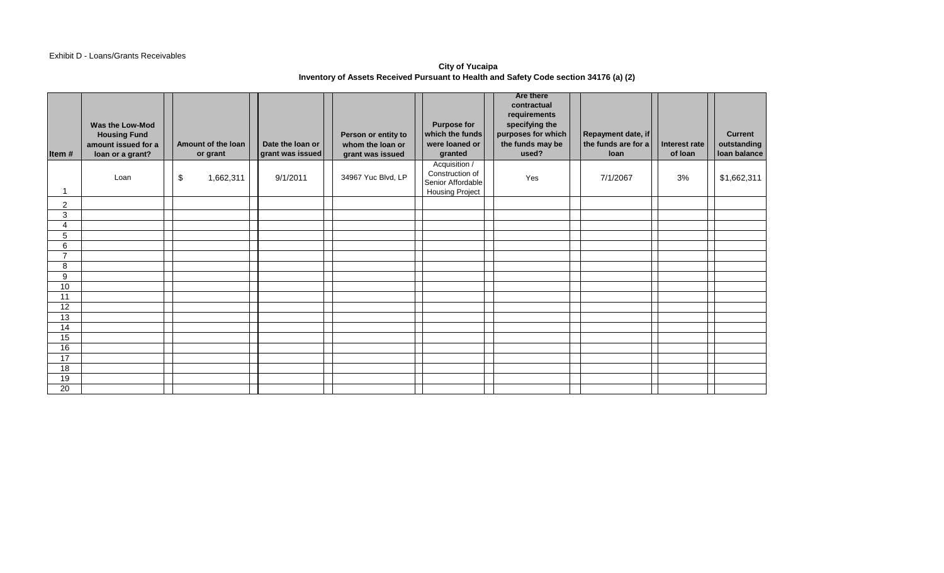## Exhibit D - Loans/Grants Receivables

# **City of Yucaipa Inventory of Assets Received Pursuant to Health and Safety Code section 34176 (a) (2)**

| Item#           | Was the Low-Mod<br><b>Housing Fund</b><br>amount issued for a<br>loan or a grant? |    | Amount of the loan<br>or grant | Date the loan or<br>grant was issued | Person or entity to<br>whom the loan or<br>grant was issued | <b>Purpose for</b><br>which the funds<br>were loaned or<br>granted              | <b>Are there</b><br>contractual<br>requirements<br>specifying the<br>purposes for which<br>the funds may be<br>used? | Repayment date, if<br>the funds are for a<br><b>loan</b> | Interest rate<br>of loan | <b>Current</b><br>outstanding<br>loan balance |
|-----------------|-----------------------------------------------------------------------------------|----|--------------------------------|--------------------------------------|-------------------------------------------------------------|---------------------------------------------------------------------------------|----------------------------------------------------------------------------------------------------------------------|----------------------------------------------------------|--------------------------|-----------------------------------------------|
|                 | Loan                                                                              | \$ | 1,662,311                      | 9/1/2011                             | 34967 Yuc Blvd, LP                                          | Acquisition /<br>Construction of<br>Senior Affordable<br><b>Housing Project</b> | Yes                                                                                                                  | 7/1/2067                                                 | 3%                       | \$1,662,311                                   |
| $\overline{2}$  |                                                                                   |    |                                |                                      |                                                             |                                                                                 |                                                                                                                      |                                                          |                          |                                               |
| $\overline{3}$  |                                                                                   |    |                                |                                      |                                                             |                                                                                 |                                                                                                                      |                                                          |                          |                                               |
| $\overline{4}$  |                                                                                   |    |                                |                                      |                                                             |                                                                                 |                                                                                                                      |                                                          |                          |                                               |
| 5               |                                                                                   |    |                                |                                      |                                                             |                                                                                 |                                                                                                                      |                                                          |                          |                                               |
| 6               |                                                                                   |    |                                |                                      |                                                             |                                                                                 |                                                                                                                      |                                                          |                          |                                               |
| $\overline{7}$  |                                                                                   |    |                                |                                      |                                                             |                                                                                 |                                                                                                                      |                                                          |                          |                                               |
| 8               |                                                                                   |    |                                |                                      |                                                             |                                                                                 |                                                                                                                      |                                                          |                          |                                               |
| 9               |                                                                                   |    |                                |                                      |                                                             |                                                                                 |                                                                                                                      |                                                          |                          |                                               |
| 10              |                                                                                   |    |                                |                                      |                                                             |                                                                                 |                                                                                                                      |                                                          |                          |                                               |
| 11              |                                                                                   |    |                                |                                      |                                                             |                                                                                 |                                                                                                                      |                                                          |                          |                                               |
| $\overline{12}$ |                                                                                   |    |                                |                                      |                                                             |                                                                                 |                                                                                                                      |                                                          |                          |                                               |
| 13              |                                                                                   |    |                                |                                      |                                                             |                                                                                 |                                                                                                                      |                                                          |                          |                                               |
| 14<br>15        |                                                                                   |    |                                |                                      |                                                             |                                                                                 |                                                                                                                      |                                                          |                          |                                               |
| 16              |                                                                                   |    |                                |                                      |                                                             |                                                                                 |                                                                                                                      |                                                          |                          |                                               |
| $\overline{17}$ |                                                                                   |    |                                |                                      |                                                             |                                                                                 |                                                                                                                      |                                                          |                          |                                               |
| 18              |                                                                                   |    |                                |                                      |                                                             |                                                                                 |                                                                                                                      |                                                          |                          |                                               |
| 19              |                                                                                   |    |                                |                                      |                                                             |                                                                                 |                                                                                                                      |                                                          |                          |                                               |
| 20              |                                                                                   |    |                                |                                      |                                                             |                                                                                 |                                                                                                                      |                                                          |                          |                                               |
|                 |                                                                                   |    |                                |                                      |                                                             |                                                                                 |                                                                                                                      |                                                          |                          |                                               |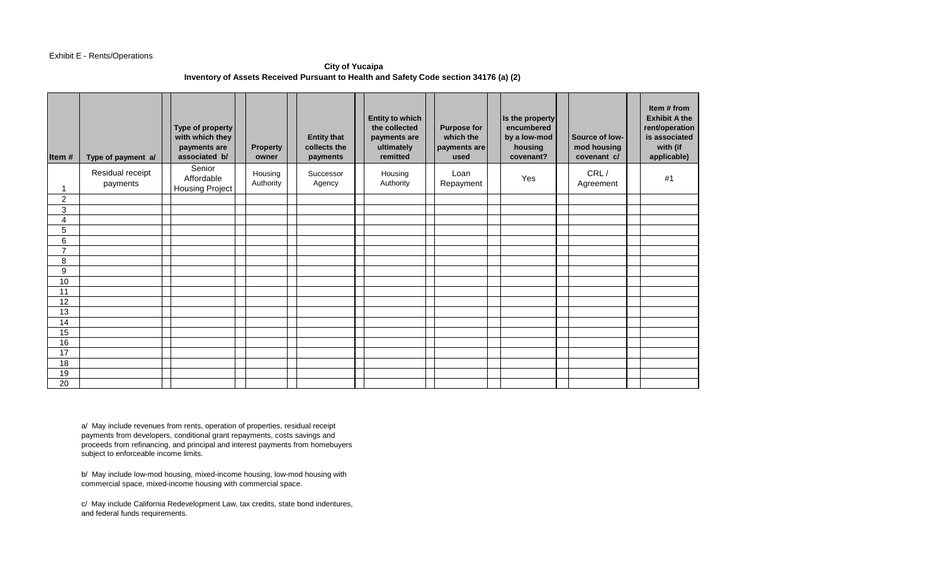### Exhibit E - Rents/Operations

## **City of Yucaipa Inventory of Assets Received Pursuant to Health and Safety Code section 34176 (a) (2)**

| Item#          | Type of payment a/           | Type of property<br>with which they<br>payments are<br>associated b/ | <b>Property</b><br>owner | <b>Entity that</b><br>collects the<br>payments | <b>Entity to which</b><br>the collected<br>payments are<br>ultimately<br>remitted | <b>Purpose for</b><br>which the<br>payments are<br>used | Is the property<br>encumbered<br>by a low-mod<br>housing<br>covenant? | Source of low-<br>mod housing<br>covenant c/ | Item # from<br><b>Exhibit A the</b><br>rent/operation<br>is associated<br>with (if<br>applicable) |
|----------------|------------------------------|----------------------------------------------------------------------|--------------------------|------------------------------------------------|-----------------------------------------------------------------------------------|---------------------------------------------------------|-----------------------------------------------------------------------|----------------------------------------------|---------------------------------------------------------------------------------------------------|
| -1             | Residual receipt<br>payments | Senior<br>Affordable<br>Housing Project                              | Housing<br>Authority     | Successor<br>Agency                            | Housing<br>Authority                                                              | Loan<br>Repayment                                       | Yes                                                                   | CRL/<br>Agreement                            | #1                                                                                                |
| $\overline{c}$ |                              |                                                                      |                          |                                                |                                                                                   |                                                         |                                                                       |                                              |                                                                                                   |
| 3              |                              |                                                                      |                          |                                                |                                                                                   |                                                         |                                                                       |                                              |                                                                                                   |
| 4              |                              |                                                                      |                          |                                                |                                                                                   |                                                         |                                                                       |                                              |                                                                                                   |
| 5              |                              |                                                                      |                          |                                                |                                                                                   |                                                         |                                                                       |                                              |                                                                                                   |
| 6              |                              |                                                                      |                          |                                                |                                                                                   |                                                         |                                                                       |                                              |                                                                                                   |
| $\overline{7}$ |                              |                                                                      |                          |                                                |                                                                                   |                                                         |                                                                       |                                              |                                                                                                   |
| 8              |                              |                                                                      |                          |                                                |                                                                                   |                                                         |                                                                       |                                              |                                                                                                   |
| 9              |                              |                                                                      |                          |                                                |                                                                                   |                                                         |                                                                       |                                              |                                                                                                   |
| 10             |                              |                                                                      |                          |                                                |                                                                                   |                                                         |                                                                       |                                              |                                                                                                   |
| 11             |                              |                                                                      |                          |                                                |                                                                                   |                                                         |                                                                       |                                              |                                                                                                   |
| 12             |                              |                                                                      |                          |                                                |                                                                                   |                                                         |                                                                       |                                              |                                                                                                   |
| 13             |                              |                                                                      |                          |                                                |                                                                                   |                                                         |                                                                       |                                              |                                                                                                   |
| 14             |                              |                                                                      |                          |                                                |                                                                                   |                                                         |                                                                       |                                              |                                                                                                   |
| 15             |                              |                                                                      |                          |                                                |                                                                                   |                                                         |                                                                       |                                              |                                                                                                   |
| 16             |                              |                                                                      |                          |                                                |                                                                                   |                                                         |                                                                       |                                              |                                                                                                   |
| 17             |                              |                                                                      |                          |                                                |                                                                                   |                                                         |                                                                       |                                              |                                                                                                   |
| 18             |                              |                                                                      |                          |                                                |                                                                                   |                                                         |                                                                       |                                              |                                                                                                   |
| 19             |                              |                                                                      |                          |                                                |                                                                                   |                                                         |                                                                       |                                              |                                                                                                   |
| 20             |                              |                                                                      |                          |                                                |                                                                                   |                                                         |                                                                       |                                              |                                                                                                   |

a/ May include revenues from rents, operation of properties, residual receipt payments from developers, conditional grant repayments, costs savings and proceeds from refinancing, and principal and interest payments from homebuyers subject to enforceable income limits.

b/ May include low-mod housing, mixed-income housing, low-mod housing with commercial space, mixed-income housing with commercial space.

c/ May include California Redevelopment Law, tax credits, state bond indentures, and federal funds requirements.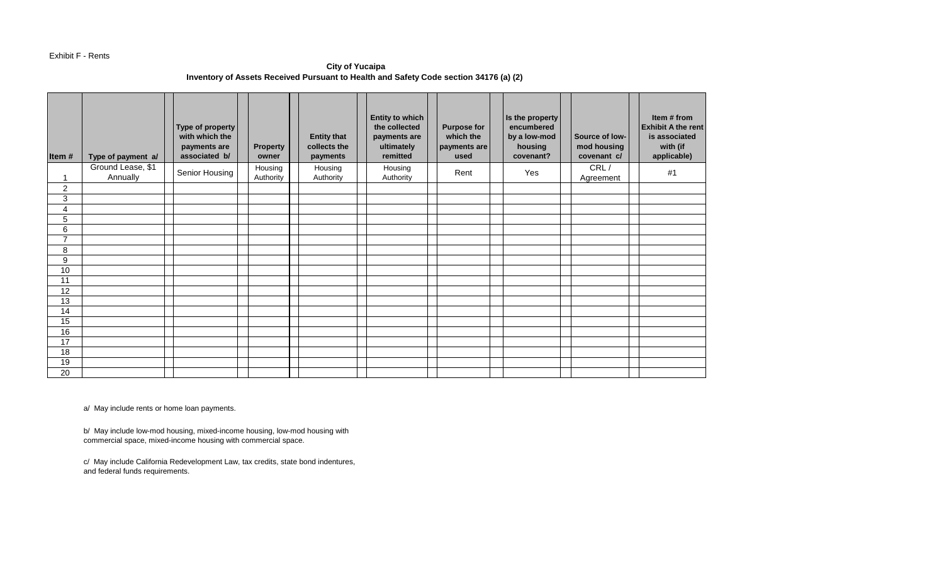#### Exhibit F - Rents

**City of Yucaipa Inventory of Assets Received Pursuant to Health and Safety Code section 34176 (a) (2)** 

| Item#                 | Type of payment a/            | Type of property<br>with which the<br>payments are<br>associated b/ | <b>Property</b><br>owner | <b>Entity that</b><br>collects the<br>payments | <b>Entity to which</b><br>the collected<br>payments are<br>ultimately<br>remitted | <b>Purpose for</b><br>which the<br>payments are<br>used | Is the property<br>encumbered<br>by a low-mod<br>housing<br>covenant? | Source of low-<br>mod housing<br>covenant c/ | Item # from<br><b>Exhibit A the rent</b><br>is associated<br>with (if<br>applicable) |
|-----------------------|-------------------------------|---------------------------------------------------------------------|--------------------------|------------------------------------------------|-----------------------------------------------------------------------------------|---------------------------------------------------------|-----------------------------------------------------------------------|----------------------------------------------|--------------------------------------------------------------------------------------|
| 1                     | Ground Lease, \$1<br>Annually | Senior Housing                                                      | Housing<br>Authority     | Housing<br>Authority                           | Housing<br>Authority                                                              | Rent                                                    | Yes                                                                   | CRL/<br>Agreement                            | #1                                                                                   |
| 2                     |                               |                                                                     |                          |                                                |                                                                                   |                                                         |                                                                       |                                              |                                                                                      |
| 3                     |                               |                                                                     |                          |                                                |                                                                                   |                                                         |                                                                       |                                              |                                                                                      |
| 4                     |                               |                                                                     |                          |                                                |                                                                                   |                                                         |                                                                       |                                              |                                                                                      |
| 5                     |                               |                                                                     |                          |                                                |                                                                                   |                                                         |                                                                       |                                              |                                                                                      |
| 6                     |                               |                                                                     |                          |                                                |                                                                                   |                                                         |                                                                       |                                              |                                                                                      |
| $\overline{7}$        |                               |                                                                     |                          |                                                |                                                                                   |                                                         |                                                                       |                                              |                                                                                      |
| 8                     |                               |                                                                     |                          |                                                |                                                                                   |                                                         |                                                                       |                                              |                                                                                      |
| 9                     |                               |                                                                     |                          |                                                |                                                                                   |                                                         |                                                                       |                                              |                                                                                      |
| 10                    |                               |                                                                     |                          |                                                |                                                                                   |                                                         |                                                                       |                                              |                                                                                      |
| 11                    |                               |                                                                     |                          |                                                |                                                                                   |                                                         |                                                                       |                                              |                                                                                      |
| 12                    |                               |                                                                     |                          |                                                |                                                                                   |                                                         |                                                                       |                                              |                                                                                      |
| 13                    |                               |                                                                     |                          |                                                |                                                                                   |                                                         |                                                                       |                                              |                                                                                      |
| 14                    |                               |                                                                     |                          |                                                |                                                                                   |                                                         |                                                                       |                                              |                                                                                      |
| 15                    |                               |                                                                     |                          |                                                |                                                                                   |                                                         |                                                                       |                                              |                                                                                      |
| 16<br>$\overline{17}$ |                               |                                                                     |                          |                                                |                                                                                   |                                                         |                                                                       |                                              |                                                                                      |
| 18                    |                               |                                                                     |                          |                                                |                                                                                   |                                                         |                                                                       |                                              |                                                                                      |
| 19                    |                               |                                                                     |                          |                                                |                                                                                   |                                                         |                                                                       |                                              |                                                                                      |
| 20                    |                               |                                                                     |                          |                                                |                                                                                   |                                                         |                                                                       |                                              |                                                                                      |
|                       |                               |                                                                     |                          |                                                |                                                                                   |                                                         |                                                                       |                                              |                                                                                      |

a/ May include rents or home loan payments.

b/ May include low-mod housing, mixed-income housing, low-mod housing with commercial space, mixed-income housing with commercial space.

c/ May include California Redevelopment Law, tax credits, state bond indentures, and federal funds requirements.